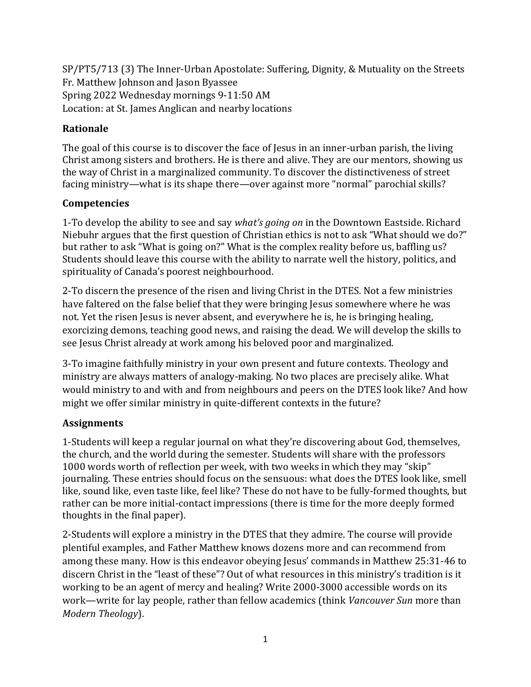SP/PT5/713 (3) The Inner-Urban Apostolate: Suffering, Dignity, & Mutuality on the Streets Fr. Matthew Johnson and Jason Byassee Spring 2022 Wednesday mornings 9-11:50 AM Location: at St. James Anglican and nearby locations

# **Rationale**

The goal of this course is to discover the face of Jesus in an inner-urban parish, the living Christ among sisters and brothers. He is there and alive. They are our mentors, showing us the way of Christ in a marginalized community. To discover the distinctiveness of street facing ministry—what is its shape there—over against more "normal" parochial skills?

### **Competencies**

1-To develop the ability to see and say *what's going on* in the Downtown Eastside. Richard Niebuhr argues that the first question of Christian ethics is not to ask "What should we do?" but rather to ask "What is going on?" What is the complex reality before us, baffling us? Students should leave this course with the ability to narrate well the history, politics, and spirituality of Canada's poorest neighbourhood.

2-To discern the presence of the risen and living Christ in the DTES. Not a few ministries have faltered on the false belief that they were bringing Jesus somewhere where he was not. Yet the risen Jesus is never absent, and everywhere he is, he is bringing healing, exorcizing demons, teaching good news, and raising the dead. We will develop the skills to see Jesus Christ already at work among his beloved poor and marginalized.

3-To imagine faithfully ministry in your own present and future contexts. Theology and ministry are always matters of analogy-making. No two places are precisely alike. What would ministry to and with and from neighbours and peers on the DTES look like? And how might we offer similar ministry in quite-different contexts in the future?

### **Assignments**

1-Students will keep a regular journal on what they're discovering about God, themselves, the church, and the world during the semester. Students will share with the professors 1000 words worth of reflection per week, with two weeks in which they may "skip" journaling. These entries should focus on the sensuous: what does the DTES look like, smell like, sound like, even taste like, feel like? These do not have to be fully-formed thoughts, but rather can be more initial-contact impressions (there is time for the more deeply formed thoughts in the final paper).

2-Students will explore a ministry in the DTES that they admire. The course will provide plentiful examples, and Father Matthew knows dozens more and can recommend from among these many. How is this endeavor obeying Jesus' commands in Matthew 25:31-46 to discern Christ in the "least of these"? Out of what resources in this ministry's tradition is it working to be an agent of mercy and healing? Write 2000-3000 accessible words on its work—write for lay people, rather than fellow academics (think *Vancouver Sun* more than *Modern Theology*).